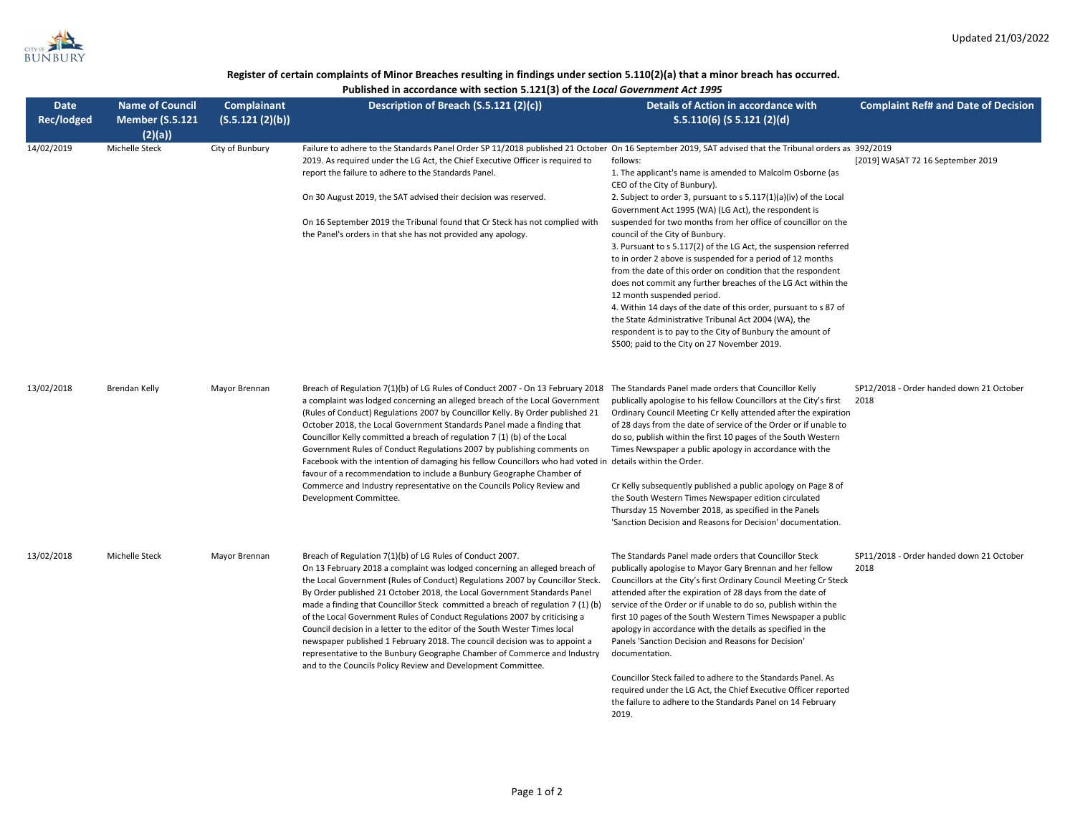## Register of certain complaints of Minor Breaches resulting in findings under section 5.110(2)(a) that a minor breach has occurred.

Published in accordance with section 5.121(3) of the Local Government Act 1995

| <b>Date</b><br>Rec/lodged | <b>Name of Council</b><br><b>Member (S.5.121</b> | <b>Complainant</b><br>(S.5.121 (2)(b)) | Description of Breach (S.5.121 (2)(c))                                                                                                                                                                                                                                                                                                                                                                                                                                                                                                                                                                                                                                                                                                                                                                                       | Details of Action in accordance with<br>$S.5.110(6)$ (S 5.121 (2)(d)                                                                                                                                                                                                                                                                                                                                                                                                                                                                                                                                                                                                                                                                                                                                                                                                             | <b>Complaint Ref# and Date of Decision</b>       |
|---------------------------|--------------------------------------------------|----------------------------------------|------------------------------------------------------------------------------------------------------------------------------------------------------------------------------------------------------------------------------------------------------------------------------------------------------------------------------------------------------------------------------------------------------------------------------------------------------------------------------------------------------------------------------------------------------------------------------------------------------------------------------------------------------------------------------------------------------------------------------------------------------------------------------------------------------------------------------|----------------------------------------------------------------------------------------------------------------------------------------------------------------------------------------------------------------------------------------------------------------------------------------------------------------------------------------------------------------------------------------------------------------------------------------------------------------------------------------------------------------------------------------------------------------------------------------------------------------------------------------------------------------------------------------------------------------------------------------------------------------------------------------------------------------------------------------------------------------------------------|--------------------------------------------------|
| 14/02/2019                | (2)(a)<br>Michelle Steck                         | City of Bunbury                        | Failure to adhere to the Standards Panel Order SP 11/2018 published 21 October On 16 September 2019, SAT advised that the Tribunal orders as 392/2019<br>2019. As required under the LG Act, the Chief Executive Officer is required to<br>report the failure to adhere to the Standards Panel.<br>On 30 August 2019, the SAT advised their decision was reserved.<br>On 16 September 2019 the Tribunal found that Cr Steck has not complied with<br>the Panel's orders in that she has not provided any apology.                                                                                                                                                                                                                                                                                                            | follows:<br>1. The applicant's name is amended to Malcolm Osborne (as<br>CEO of the City of Bunbury).<br>2. Subject to order 3, pursuant to s 5.117(1)(a)(iv) of the Local<br>Government Act 1995 (WA) (LG Act), the respondent is<br>suspended for two months from her office of councillor on the<br>council of the City of Bunbury.<br>3. Pursuant to s 5.117(2) of the LG Act, the suspension referred<br>to in order 2 above is suspended for a period of 12 months<br>from the date of this order on condition that the respondent<br>does not commit any further breaches of the LG Act within the<br>12 month suspended period.<br>4. Within 14 days of the date of this order, pursuant to s 87 of<br>the State Administrative Tribunal Act 2004 (WA), the<br>respondent is to pay to the City of Bunbury the amount of<br>\$500; paid to the City on 27 November 2019. | [2019] WASAT 72 16 September 2019                |
| 13/02/2018                | Brendan Kelly                                    | Mayor Brennan                          | Breach of Regulation 7(1)(b) of LG Rules of Conduct 2007 - On 13 February 2018 The Standards Panel made orders that Councillor Kelly<br>a complaint was lodged concerning an alleged breach of the Local Government<br>(Rules of Conduct) Regulations 2007 by Councillor Kelly. By Order published 21<br>October 2018, the Local Government Standards Panel made a finding that<br>Councillor Kelly committed a breach of regulation 7(1)(b) of the Local<br>Government Rules of Conduct Regulations 2007 by publishing comments on<br>Facebook with the intention of damaging his fellow Councillors who had voted in details within the Order.<br>favour of a recommendation to include a Bunbury Geographe Chamber of<br>Commerce and Industry representative on the Councils Policy Review and<br>Development Committee. | publically apologise to his fellow Councillors at the City's first<br>Ordinary Council Meeting Cr Kelly attended after the expiration<br>of 28 days from the date of service of the Order or if unable to<br>do so, publish within the first 10 pages of the South Western<br>Times Newspaper a public apology in accordance with the<br>Cr Kelly subsequently published a public apology on Page 8 of<br>the South Western Times Newspaper edition circulated<br>Thursday 15 November 2018, as specified in the Panels<br>'Sanction Decision and Reasons for Decision' documentation.                                                                                                                                                                                                                                                                                           | SP12/2018 - Order handed down 21 October<br>2018 |
| 13/02/2018                | Michelle Steck                                   | Mayor Brennan                          | Breach of Regulation 7(1)(b) of LG Rules of Conduct 2007.<br>On 13 February 2018 a complaint was lodged concerning an alleged breach of<br>the Local Government (Rules of Conduct) Regulations 2007 by Councillor Steck.<br>By Order published 21 October 2018, the Local Government Standards Panel<br>made a finding that Councillor Steck committed a breach of regulation $7(1)(b)$<br>of the Local Government Rules of Conduct Regulations 2007 by criticising a<br>Council decision in a letter to the editor of the South Wester Times local<br>newspaper published 1 February 2018. The council decision was to appoint a<br>representative to the Bunbury Geographe Chamber of Commerce and Industry<br>and to the Councils Policy Review and Development Committee.                                                | The Standards Panel made orders that Councillor Steck<br>publically apologise to Mayor Gary Brennan and her fellow<br>Councillors at the City's first Ordinary Council Meeting Cr Steck<br>attended after the expiration of 28 days from the date of<br>service of the Order or if unable to do so, publish within the<br>first 10 pages of the South Western Times Newspaper a public<br>apology in accordance with the details as specified in the<br>Panels 'Sanction Decision and Reasons for Decision'<br>documentation.<br>Councillor Steck failed to adhere to the Standards Panel. As<br>required under the LG Act, the Chief Executive Officer reported<br>the failure to adhere to the Standards Panel on 14 February<br>2019.                                                                                                                                         | SP11/2018 - Order handed down 21 October<br>2018 |